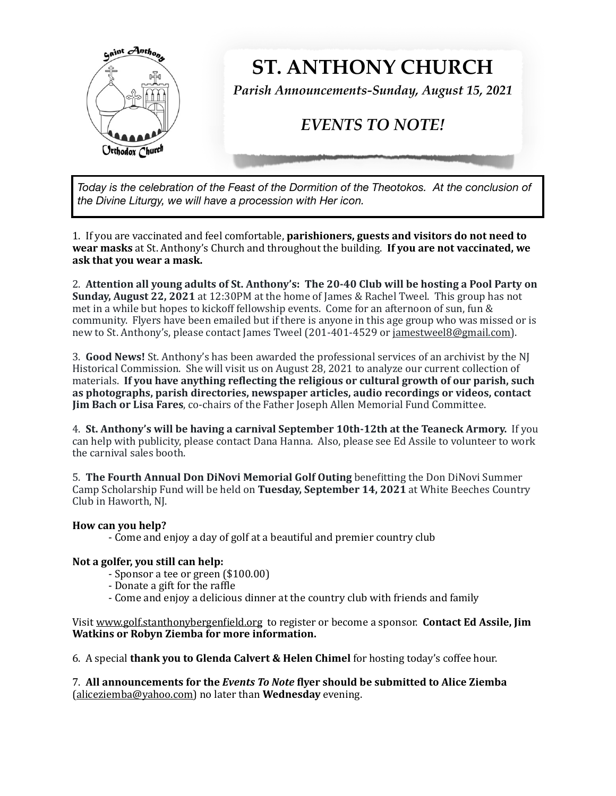

*Today is the celebration of the Feast of the Dormition of the Theotokos. At the conclusion of the Divine Liturgy, we will have a procession with Her icon.* 

1. If you are vaccinated and feel comfortable, **parishioners, guests and visitors do not need to** wear masks at St. Anthony's Church and throughout the building. If you are not vaccinated, we ask that you wear a mask.

2. Attention all young adults of St. Anthony's: The 20-40 Club will be hosting a Pool Party on **Sunday, August 22, 2021** at 12:30PM at the home of James & Rachel Tweel. This group has not met in a while but hopes to kickoff fellowship events. Come for an afternoon of sun, fun & community. Flyers have been emailed but if there is anyone in this age group who was missed or is new to St. Anthony's, please contact James Tweel (201-401-4529 or jamestweel8@gmail.com).

3. **Good News!** St. Anthony's has been awarded the professional services of an archivist by the NJ Historical Commission. She will visit us on August 28, 2021 to analyze our current collection of materials. If you have anything reflecting the religious or cultural growth of our parish, such as photographs, parish directories, newspaper articles, audio recordings or videos, contact **Jim Bach or Lisa Fares**, co-chairs of the Father Joseph Allen Memorial Fund Committee.

4. St. Anthony's will be having a carnival September 10th-12th at the Teaneck Armory. If you can help with publicity, please contact Dana Hanna. Also, please see Ed Assile to volunteer to work the carnival sales booth.

5. **The Fourth Annual Don DiNovi Memorial Golf Outing** benefitting the Don DiNovi Summer Camp Scholarship Fund will be held on **Tuesday, September 14, 2021** at White Beeches Country Club in Haworth, NJ.

## How can you help?

- Come and enjoy a day of golf at a beautiful and premier country club

## Not a golfer, you still can help:

- Sponsor a tee or green (\$100.00)
- Donate a gift for the raffle
- Come and enjoy a delicious dinner at the country club with friends and family

Visit www.golf.stanthonybergenfield.org to register or become a sponsor. **Contact Ed Assile, Jim Watkins or Robyn Ziemba for more information.** 

6. A special **thank you to Glenda Calvert & Helen Chimel** for hosting today's coffee hour.

7. All announcements for the *Events To Note* flyer should be submitted to Alice Ziemba (aliceziemba@yahoo.com) no later than **Wednesday** evening.